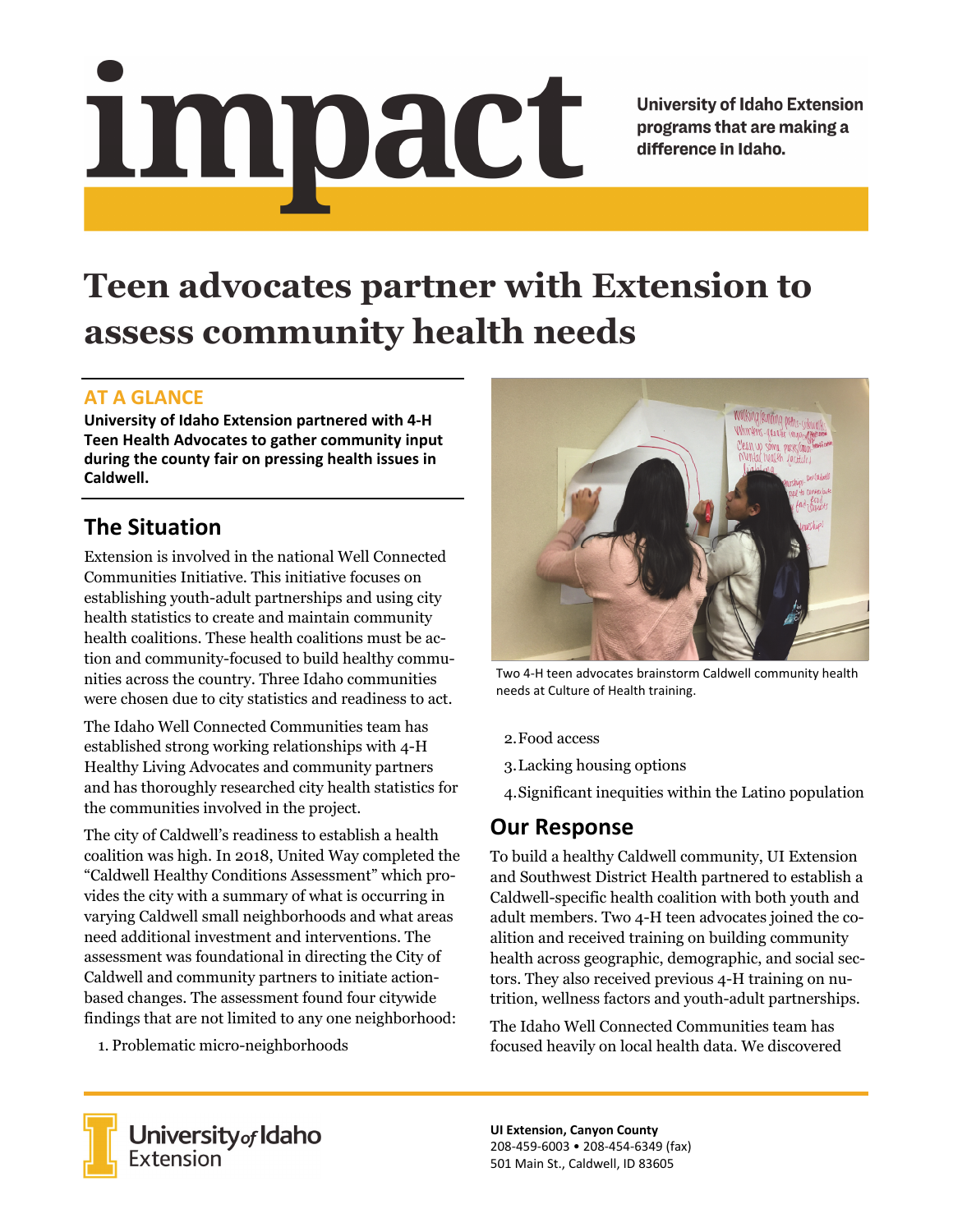# <u>impact</u>

**University of Idaho Extension** programs that are making a difference in Idaho.

# **Teen advocates partner with Extension to assess community health needs**

### **AT A GLANCE**

**University of Idaho Extension partnered with 4‐H Teen Health Advocates to gather community input during the county fair on pressing health issues in Caldwell.** 

## **The Situation**

Extension is involved in the national Well Connected Communities Initiative. This initiative focuses on establishing youth-adult partnerships and using city health statistics to create and maintain community health coalitions. These health coalitions must be action and community-focused to build healthy communities across the country. Three Idaho communities were chosen due to city statistics and readiness to act.

The Idaho Well Connected Communities team has established strong working relationships with 4-H Healthy Living Advocates and community partners and has thoroughly researched city health statistics for the communities involved in the project.

The city of Caldwell's readiness to establish a health coalition was high. In 2018, United Way completed the "Caldwell Healthy Conditions Assessment" which provides the city with a summary of what is occurring in varying Caldwell small neighborhoods and what areas need additional investment and interventions. The assessment was foundational in directing the City of Caldwell and community partners to initiate actionbased changes. The assessment found four citywide findings that are not limited to any one neighborhood:

1. Problematic micro-neighborhoods



Two 4‐H teen advocates brainstorm Caldwell community health needs at Culture of Health training.

- 2.Food access
- 3.Lacking housing options
- 4.Significant inequities within the Latino population

### **Our Response**

To build a healthy Caldwell community, UI Extension and Southwest District Health partnered to establish a Caldwell-specific health coalition with both youth and adult members. Two 4-H teen advocates joined the coalition and received training on building community health across geographic, demographic, and social sectors. They also received previous 4-H training on nutrition, wellness factors and youth-adult partnerships.

The Idaho Well Connected Communities team has focused heavily on local health data. We discovered



**UI Extension, Canyon County** 208‐459‐6003 • 208‐454‐6349 (fax) 501 Main St., Caldwell, ID 83605